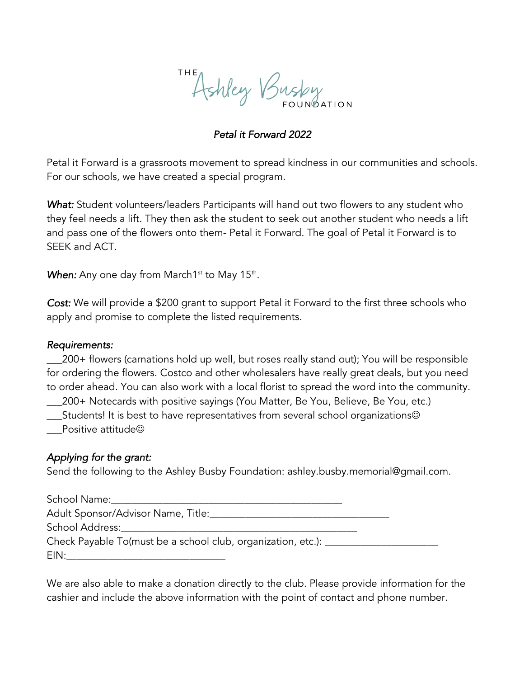Ashley Busby

# *Petal it Forward 2022*

Petal it Forward is a grassroots movement to spread kindness in our communities and schools. For our schools, we have created a special program.

*What:* Student volunteers/leaders Participants will hand out two flowers to any student who they feel needs a lift. They then ask the student to seek out another student who needs a lift and pass one of the flowers onto them- Petal it Forward. The goal of Petal it Forward is to SEEK and ACT.

**When:** Any one day from March1<sup>st</sup> to May 15<sup>th</sup>.

*Cost:* We will provide a \$200 grant to support Petal it Forward to the first three schools who apply and promise to complete the listed requirements.

## *Requirements:*

\_\_\_200+ flowers (carnations hold up well, but roses really stand out); You will be responsible for ordering the flowers. Costco and other wholesalers have really great deals, but you need to order ahead. You can also work with a local florist to spread the word into the community.

\_\_\_200+ Notecards with positive sayings (You Matter, Be You, Believe, Be You, etc.)

 $\_$ Students! It is best to have representatives from several school organizations $\circledcirc$ 

Positive attitude $\odot$ 

# *Applying for the grant:*

Send the following to the Ashley Busby Foundation: ashley.busby.memorial@gmail.com.

| School Name:                                                        |  |
|---------------------------------------------------------------------|--|
| Adult Sponsor/Advisor Name, Title:                                  |  |
| School Address:                                                     |  |
| Check Payable To(must be a school club, organization, etc.): ______ |  |
| EIN:                                                                |  |

We are also able to make a donation directly to the club. Please provide information for the cashier and include the above information with the point of contact and phone number.